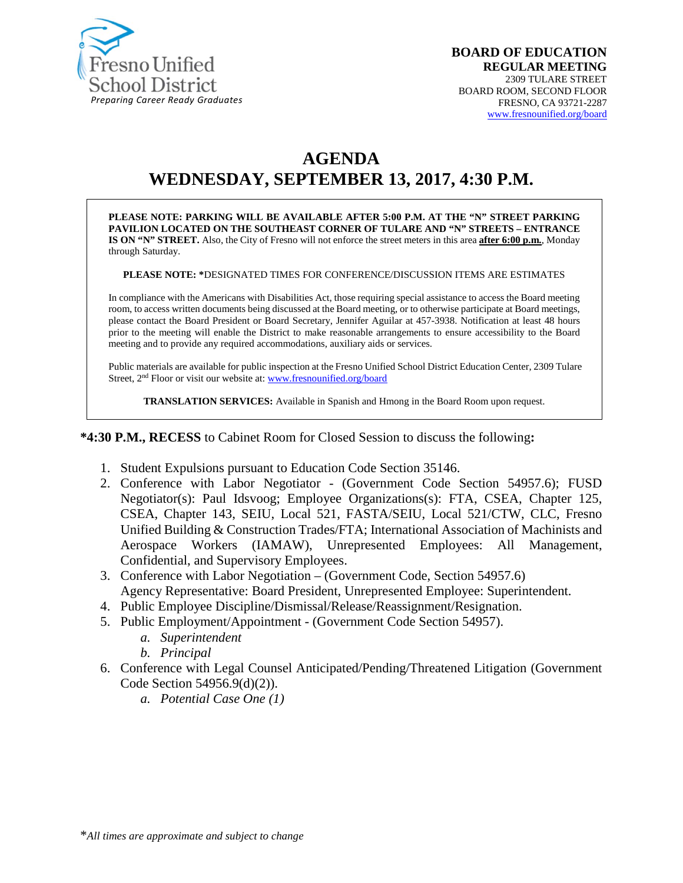

# **AGENDA WEDNESDAY, SEPTEMBER 13, 2017, 4:30 P.M.**

**PLEASE NOTE: PARKING WILL BE AVAILABLE AFTER 5:00 P.M. AT THE "N" STREET PARKING PAVILION LOCATED ON THE SOUTHEAST CORNER OF TULARE AND "N" STREETS – ENTRANCE IS ON "N" STREET.** Also, the City of Fresno will not enforce the street meters in this area **after 6:00 p.m.**, Monday through Saturday.

**PLEASE NOTE: \***DESIGNATED TIMES FOR CONFERENCE/DISCUSSION ITEMS ARE ESTIMATES

In compliance with the Americans with Disabilities Act, those requiring special assistance to access the Board meeting room, to access written documents being discussed at the Board meeting, or to otherwise participate at Board meetings, please contact the Board President or Board Secretary, Jennifer Aguilar at 457-3938. Notification at least 48 hours prior to the meeting will enable the District to make reasonable arrangements to ensure accessibility to the Board meeting and to provide any required accommodations, auxiliary aids or services.

Public materials are available for public inspection at the Fresno Unified School District Education Center, 2309 Tulare Street, 2<sup>nd</sup> Floor or visit our website at: [www.fresnounified.org/board](http://www.fresnounified.org/board)

**TRANSLATION SERVICES:** Available in Spanish and Hmong in the Board Room upon request.

**\*4:30 P.M., RECESS** to Cabinet Room for Closed Session to discuss the following**:**

- 1. Student Expulsions pursuant to Education Code Section 35146.
- 2. Conference with Labor Negotiator (Government Code Section 54957.6); FUSD Negotiator(s): Paul Idsvoog; Employee Organizations(s): FTA, CSEA, Chapter 125, CSEA, Chapter 143, SEIU, Local 521, FASTA/SEIU, Local 521/CTW, CLC, Fresno Unified Building & Construction Trades/FTA; International Association of Machinists and Aerospace Workers (IAMAW), Unrepresented Employees: All Management, Confidential, and Supervisory Employees.
- 3. Conference with Labor Negotiation (Government Code, Section 54957.6) Agency Representative: Board President, Unrepresented Employee: Superintendent.
- 4. Public Employee Discipline/Dismissal/Release/Reassignment/Resignation.
- 5. Public Employment/Appointment (Government Code Section 54957).
	- *a. Superintendent*
	- *b. Principal*
- 6. Conference with Legal Counsel Anticipated/Pending/Threatened Litigation (Government Code Section 54956.9(d)(2)).
	- *a. Potential Case One (1)*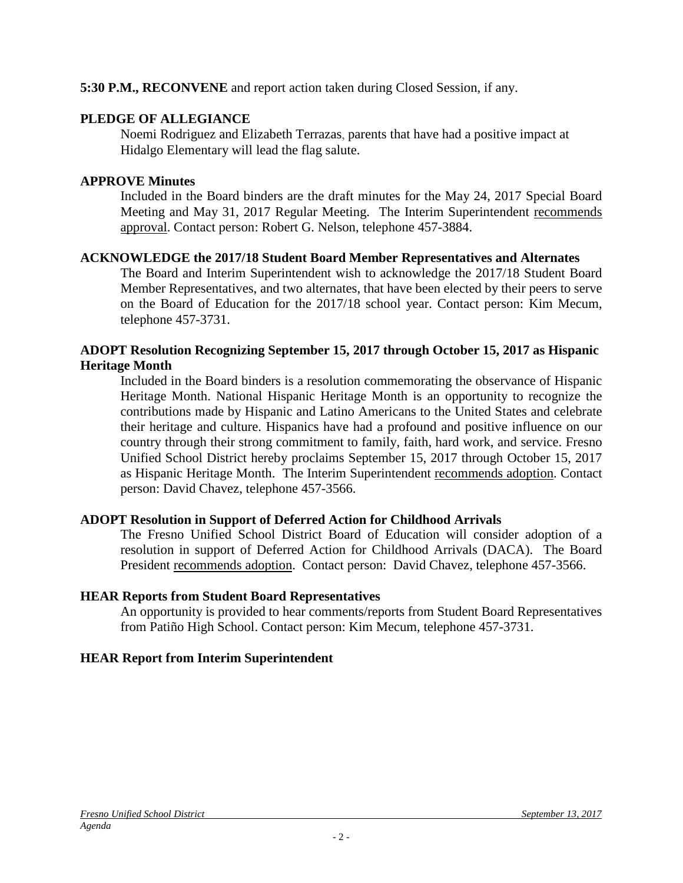#### **5:30 P.M., RECONVENE** and report action taken during Closed Session, if any.

#### **PLEDGE OF ALLEGIANCE**

Noemi Rodriguez and Elizabeth Terrazas, parents that have had a positive impact at Hidalgo Elementary will lead the flag salute.

#### **APPROVE Minutes**

Included in the Board binders are the draft minutes for the May 24, 2017 Special Board Meeting and May 31, 2017 Regular Meeting. The Interim Superintendent recommends approval. Contact person: Robert G. Nelson, telephone 457-3884.

#### **ACKNOWLEDGE the 2017/18 Student Board Member Representatives and Alternates**

The Board and Interim Superintendent wish to acknowledge the 2017/18 Student Board Member Representatives, and two alternates, that have been elected by their peers to serve on the Board of Education for the 2017/18 school year. Contact person: Kim Mecum, telephone 457-3731.

#### **ADOPT Resolution Recognizing September 15, 2017 through October 15, 2017 as Hispanic Heritage Month**

Included in the Board binders is a resolution commemorating the observance of Hispanic Heritage Month. National Hispanic Heritage Month is an opportunity to recognize the contributions made by Hispanic and Latino Americans to the United States and celebrate their heritage and culture. Hispanics have had a profound and positive influence on our country through their strong commitment to family, faith, hard work, and service. Fresno Unified School District hereby proclaims September 15, 2017 through October 15, 2017 as Hispanic Heritage Month. The Interim Superintendent recommends adoption. Contact person: David Chavez, telephone 457-3566.

# **ADOPT Resolution in Support of Deferred Action for Childhood Arrivals**

The Fresno Unified School District Board of Education will consider adoption of a resolution in support of Deferred Action for Childhood Arrivals (DACA). The Board President recommends adoption. Contact person: David Chavez, telephone 457-3566.

#### **HEAR Reports from Student Board Representatives**

An opportunity is provided to hear comments/reports from Student Board Representatives from Patiño High School. Contact person: Kim Mecum, telephone 457-3731.

# **HEAR Report from Interim Superintendent**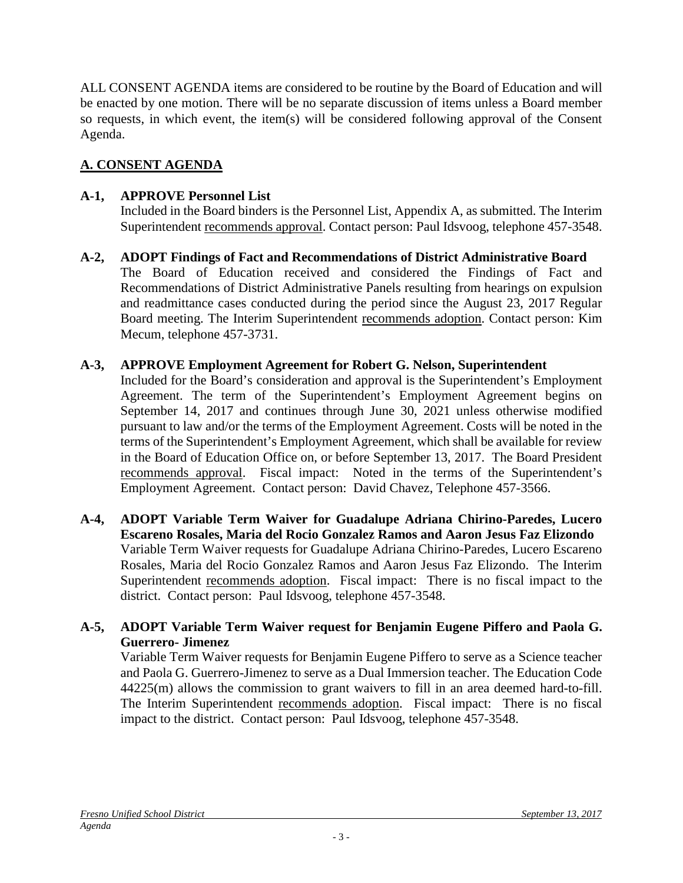ALL CONSENT AGENDA items are considered to be routine by the Board of Education and will be enacted by one motion. There will be no separate discussion of items unless a Board member so requests, in which event, the item(s) will be considered following approval of the Consent Agenda.

# **A. CONSENT AGENDA**

# **A-1, APPROVE Personnel List**

Included in the Board binders is the Personnel List, Appendix A, as submitted. The Interim Superintendent recommends approval. Contact person: Paul Idsvoog, telephone 457-3548.

**A-2, ADOPT Findings of Fact and Recommendations of District Administrative Board** The Board of Education received and considered the Findings of Fact and Recommendations of District Administrative Panels resulting from hearings on expulsion and readmittance cases conducted during the period since the August 23, 2017 Regular Board meeting. The Interim Superintendent recommends adoption. Contact person: Kim Mecum, telephone 457-3731.

# **A-3, APPROVE Employment Agreement for Robert G. Nelson, Superintendent**

Included for the Board's consideration and approval is the Superintendent's Employment Agreement. The term of the Superintendent's Employment Agreement begins on September 14, 2017 and continues through June 30, 2021 unless otherwise modified pursuant to law and/or the terms of the Employment Agreement. Costs will be noted in the terms of the Superintendent's Employment Agreement, which shall be available for review in the Board of Education Office on, or before September 13, 2017. The Board President recommends approval. Fiscal impact: Noted in the terms of the Superintendent's Employment Agreement. Contact person: David Chavez, Telephone 457-3566.

- **A-4, ADOPT Variable Term Waiver for Guadalupe Adriana Chirino-Paredes, Lucero Escareno Rosales, Maria del Rocio Gonzalez Ramos and Aaron Jesus Faz Elizondo** Variable Term Waiver requests for Guadalupe Adriana Chirino-Paredes, Lucero Escareno Rosales, Maria del Rocio Gonzalez Ramos and Aaron Jesus Faz Elizondo. The Interim Superintendent recommends adoption. Fiscal impact: There is no fiscal impact to the district. Contact person: Paul Idsvoog, telephone 457-3548.
- **A-5, ADOPT Variable Term Waiver request for Benjamin Eugene Piffero and Paola G. Guerrero- Jimenez**

Variable Term Waiver requests for Benjamin Eugene Piffero to serve as a Science teacher and Paola G. Guerrero-Jimenez to serve as a Dual Immersion teacher. The Education Code 44225(m) allows the commission to grant waivers to fill in an area deemed hard-to-fill. The Interim Superintendent recommends adoption. Fiscal impact: There is no fiscal impact to the district. Contact person: Paul Idsvoog, telephone 457-3548.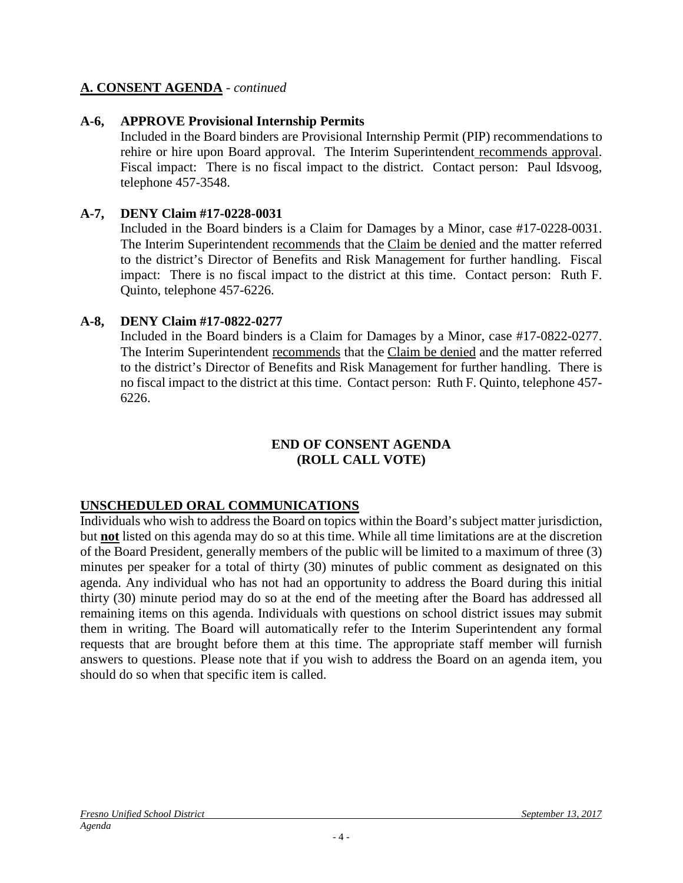#### **A. CONSENT AGENDA** - *continued*

#### **A-6, APPROVE Provisional Internship Permits**

Included in the Board binders are Provisional Internship Permit (PIP) recommendations to rehire or hire upon Board approval. The Interim Superintendent recommends approval. Fiscal impact: There is no fiscal impact to the district. Contact person: Paul Idsvoog, telephone 457-3548.

#### **A-7, DENY Claim #17-0228-0031**

Included in the Board binders is a Claim for Damages by a Minor, case #17-0228-0031. The Interim Superintendent recommends that the Claim be denied and the matter referred to the district's Director of Benefits and Risk Management for further handling. Fiscal impact: There is no fiscal impact to the district at this time. Contact person: Ruth F. Quinto, telephone 457-6226.

#### **A-8, DENY Claim #17-0822-0277**

Included in the Board binders is a Claim for Damages by a Minor, case #17-0822-0277. The Interim Superintendent recommends that the Claim be denied and the matter referred to the district's Director of Benefits and Risk Management for further handling. There is no fiscal impact to the district at this time. Contact person: Ruth F. Quinto, telephone 457- 6226.

#### **END OF CONSENT AGENDA (ROLL CALL VOTE)**

# **UNSCHEDULED ORAL COMMUNICATIONS**

Individuals who wish to address the Board on topics within the Board's subject matter jurisdiction, but **not** listed on this agenda may do so at this time. While all time limitations are at the discretion of the Board President, generally members of the public will be limited to a maximum of three (3) minutes per speaker for a total of thirty (30) minutes of public comment as designated on this agenda. Any individual who has not had an opportunity to address the Board during this initial thirty (30) minute period may do so at the end of the meeting after the Board has addressed all remaining items on this agenda. Individuals with questions on school district issues may submit them in writing. The Board will automatically refer to the Interim Superintendent any formal requests that are brought before them at this time. The appropriate staff member will furnish answers to questions. Please note that if you wish to address the Board on an agenda item, you should do so when that specific item is called.